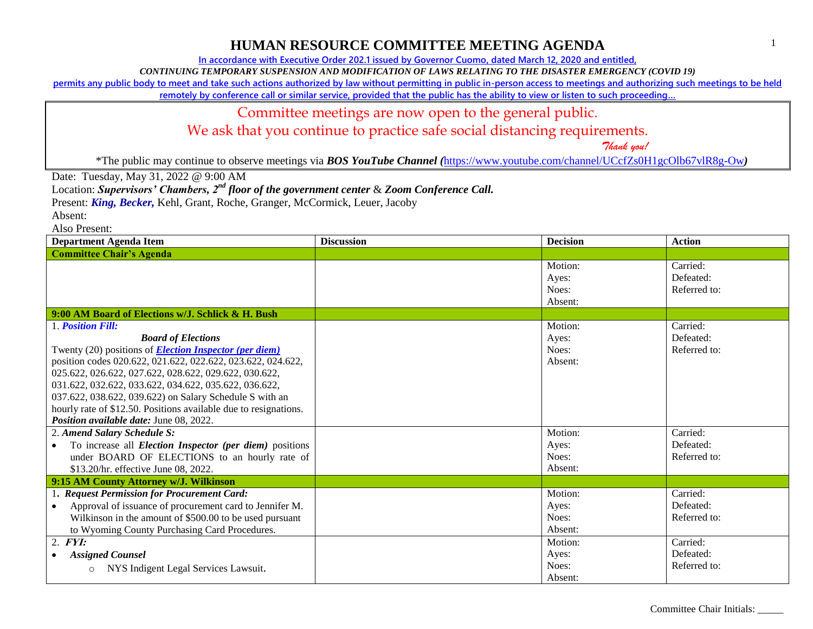**In accordance with Executive Order 202.1 issued by Governor Cuomo, dated March 12, 2020 and entitled,**

*CONTINUING TEMPORARY SUSPENSION AND MODIFICATION OF LAWS RELATING TO THE DISASTER EMERGENCY (COVID 19)*

**permits any public body to meet and take such actions authorized by law without permitting in public in-person access to meetings and authorizing such meetings to be held** 

**remotely by conference call or similar service, provided that the public has the ability to view or listen to such proceeding…**

#### Committee meetings are now open to the general public.

We ask that you continue to practice safe social distancing requirements.

 *Thank you!*

\*The public may continue to observe meetings via *BOS YouTube Channel (*<https://www.youtube.com/channel/UCcfZs0H1gcOlb67vlR8g-Ow>*)*

Date: Tuesday, May 31, 2022 @ 9:00 AM

Location: *Supervisors' Chambers, 2nd floor of the government center* & *Zoom Conference Call.*

Present: *King, Becker,* Kehl, Grant, Roche, Granger, McCormick, Leuer, Jacoby

Absent:

Also Present:

| <b>Department Agenda Item</b>                                                                                                                                                                                                                                                                                                                                                                                                                                                     | <b>Discussion</b> | <b>Decision</b>                                 | <b>Action</b>                                     |
|-----------------------------------------------------------------------------------------------------------------------------------------------------------------------------------------------------------------------------------------------------------------------------------------------------------------------------------------------------------------------------------------------------------------------------------------------------------------------------------|-------------------|-------------------------------------------------|---------------------------------------------------|
| <b>Committee Chair's Agenda</b>                                                                                                                                                                                                                                                                                                                                                                                                                                                   |                   |                                                 |                                                   |
|                                                                                                                                                                                                                                                                                                                                                                                                                                                                                   |                   | Motion:<br>Ayes:<br>Noes:<br>Absent:            | Carried:<br>Defeated:<br>Referred to:             |
| 9:00 AM Board of Elections w/J. Schlick & H. Bush                                                                                                                                                                                                                                                                                                                                                                                                                                 |                   |                                                 |                                                   |
| 1. <b>Position Fill:</b><br><b>Board of Elections</b><br>Twenty (20) positions of <b>Election Inspector (per diem)</b><br>position codes 020.622, 021.622, 022.622, 023.622, 024.622,<br>025.622, 026.622, 027.622, 028.622, 029.622, 030.622,<br>031.622, 032.622, 033.622, 034.622, 035.622, 036.622,<br>037.622, 038.622, 039.622) on Salary Schedule S with an<br>hourly rate of \$12.50. Positions available due to resignations.<br>Position available date: June 08, 2022. |                   | Motion:<br>Ayes:<br>Noes:<br>Absent:            | Carried:<br>Defeated:<br>Referred to:             |
| 2. Amend Salary Schedule S:<br>To increase all <i>Election Inspector (per diem)</i> positions<br>under BOARD OF ELECTIONS to an hourly rate of<br>\$13.20/hr. effective June 08, 2022.                                                                                                                                                                                                                                                                                            |                   | Motion:<br>Ayes:<br>Noes:<br>Absent:            | Carried:<br>Defeated:<br>Referred to:             |
| 9:15 AM County Attorney w/J. Wilkinson                                                                                                                                                                                                                                                                                                                                                                                                                                            |                   |                                                 |                                                   |
| 1. Request Permission for Procurement Card:<br>Approval of issuance of procurement card to Jennifer M.<br>Wilkinson in the amount of \$500.00 to be used pursuant<br>to Wyoming County Purchasing Card Procedures.<br>$2.$ FYI:                                                                                                                                                                                                                                                   |                   | Motion:<br>Ayes:<br>Noes:<br>Absent:<br>Motion: | Carried:<br>Defeated:<br>Referred to:<br>Carried: |
| <b>Assigned Counsel</b><br>NYS Indigent Legal Services Lawsuit.<br>$\circ$                                                                                                                                                                                                                                                                                                                                                                                                        |                   | Ayes:<br>Noes:<br>Absent:                       | Defeated:<br>Referred to:                         |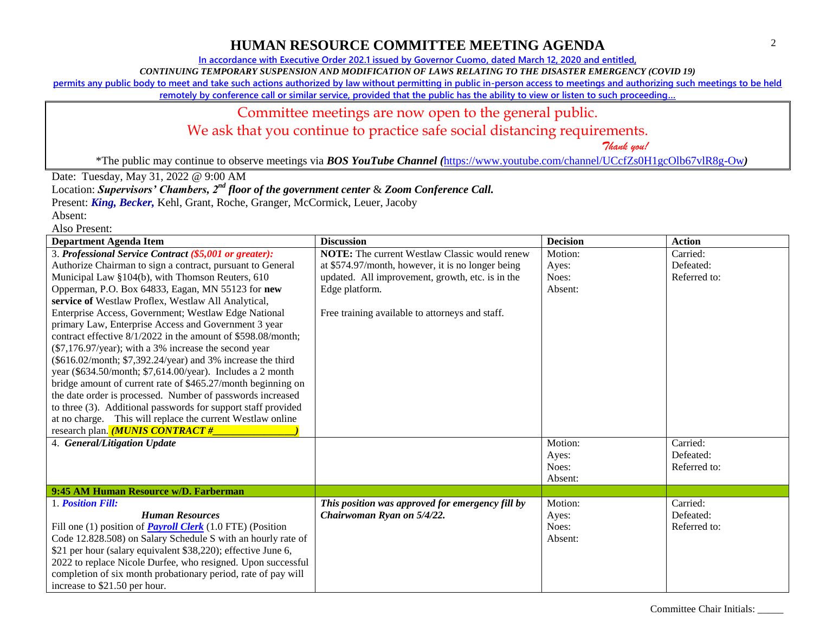**In accordance with Executive Order 202.1 issued by Governor Cuomo, dated March 12, 2020 and entitled,**

*CONTINUING TEMPORARY SUSPENSION AND MODIFICATION OF LAWS RELATING TO THE DISASTER EMERGENCY (COVID 19)*

**permits any public body to meet and take such actions authorized by law without permitting in public in-person access to meetings and authorizing such meetings to be held** 

**remotely by conference call or similar service, provided that the public has the ability to view or listen to such proceeding…**

#### Committee meetings are now open to the general public. We ask that you continue to practice safe social distancing requirements.

 *Thank you!*

\*The public may continue to observe meetings via *BOS YouTube Channel (*<https://www.youtube.com/channel/UCcfZs0H1gcOlb67vlR8g-Ow>*)*

Date: Tuesday, May 31, 2022 @ 9:00 AM

Location: *Supervisors' Chambers, 2nd floor of the government center* & *Zoom Conference Call.*

Present: *King, Becker,* Kehl, Grant, Roche, Granger, McCormick, Leuer, Jacoby

Absent: Also Present:

| Department Agenda Item                                            | <b>Discussion</b>                                    | <b>Decision</b> | <b>Action</b> |
|-------------------------------------------------------------------|------------------------------------------------------|-----------------|---------------|
| 3. Professional Service Contract (\$5,001 or greater):            | <b>NOTE:</b> The current Westlaw Classic would renew | Motion:         | Carried:      |
| Authorize Chairman to sign a contract, pursuant to General        | at \$574.97/month, however, it is no longer being    | Ayes:           | Defeated:     |
| Municipal Law §104(b), with Thomson Reuters, 610                  | updated. All improvement, growth, etc. is in the     | Noes:           | Referred to:  |
| Opperman, P.O. Box 64833, Eagan, MN 55123 for new                 | Edge platform.                                       | Absent:         |               |
| service of Westlaw Proflex, Westlaw All Analytical,               |                                                      |                 |               |
| Enterprise Access, Government; Westlaw Edge National              | Free training available to attorneys and staff.      |                 |               |
| primary Law, Enterprise Access and Government 3 year              |                                                      |                 |               |
| contract effective 8/1/2022 in the amount of \$598.08/month;      |                                                      |                 |               |
| (\$7,176.97/year); with a 3% increase the second year             |                                                      |                 |               |
| (\$616.02/month; \$7,392.24/year) and 3% increase the third       |                                                      |                 |               |
| year (\$634.50/month; \$7,614.00/year). Includes a 2 month        |                                                      |                 |               |
| bridge amount of current rate of \$465.27/month beginning on      |                                                      |                 |               |
| the date order is processed. Number of passwords increased        |                                                      |                 |               |
| to three (3). Additional passwords for support staff provided     |                                                      |                 |               |
| at no charge. This will replace the current Westlaw online        |                                                      |                 |               |
| research plan. <i>(MUNIS CONTRACT #_</i>                          |                                                      |                 |               |
| 4. General/Litigation Update                                      |                                                      | Motion:         | Carried:      |
|                                                                   |                                                      | Ayes:           | Defeated:     |
|                                                                   |                                                      | Noes:           | Referred to:  |
|                                                                   |                                                      | Absent:         |               |
| 9:45 AM Human Resource w/D. Farberman                             |                                                      |                 |               |
| 1. Position Fill:                                                 | This position was approved for emergency fill by     | Motion:         | Carried:      |
| <b>Human Resources</b>                                            | Chairwoman Ryan on 5/4/22.                           | Ayes:           | Defeated:     |
| Fill one (1) position of <b>Payroll Clerk</b> (1.0 FTE) (Position |                                                      | Noes:           | Referred to:  |
| Code 12.828.508) on Salary Schedule S with an hourly rate of      |                                                      | Absent:         |               |
| \$21 per hour (salary equivalent \$38,220); effective June 6,     |                                                      |                 |               |
| 2022 to replace Nicole Durfee, who resigned. Upon successful      |                                                      |                 |               |
| completion of six month probationary period, rate of pay will     |                                                      |                 |               |
| increase to \$21.50 per hour.                                     |                                                      |                 |               |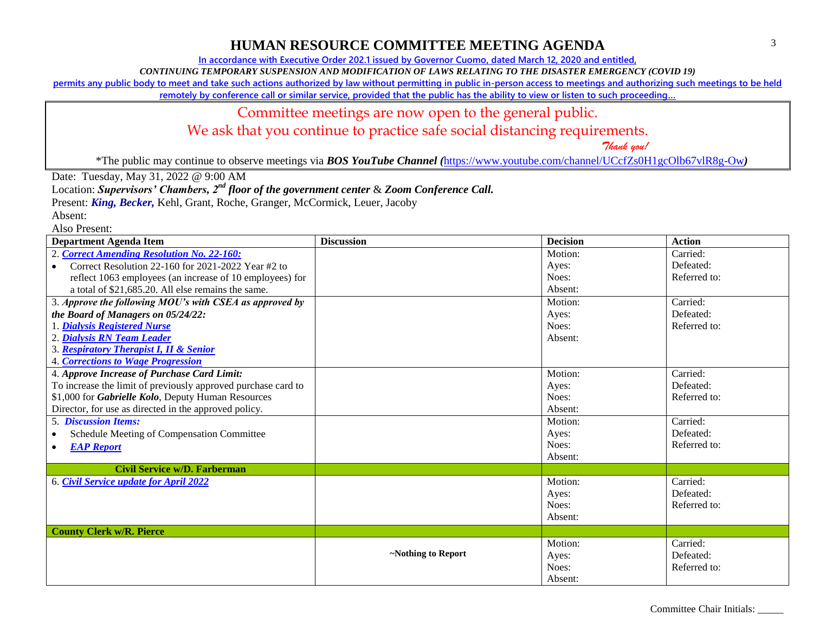**In accordance with Executive Order 202.1 issued by Governor Cuomo, dated March 12, 2020 and entitled,**

*CONTINUING TEMPORARY SUSPENSION AND MODIFICATION OF LAWS RELATING TO THE DISASTER EMERGENCY (COVID 19)*

**permits any public body to meet and take such actions authorized by law without permitting in public in-person access to meetings and authorizing such meetings to be held** 

**remotely by conference call or similar service, provided that the public has the ability to view or listen to such proceeding…**

#### Committee meetings are now open to the general public.

We ask that you continue to practice safe social distancing requirements.

 *Thank you!*

\*The public may continue to observe meetings via *BOS YouTube Channel (*<https://www.youtube.com/channel/UCcfZs0H1gcOlb67vlR8g-Ow>*)*

Date: Tuesday, May 31, 2022 @ 9:00 AM

Location: *Supervisors' Chambers, 2nd floor of the government center* & *Zoom Conference Call.*

Present: *King, Becker,* Kehl, Grant, Roche, Granger, McCormick, Leuer, Jacoby

Absent: Also Present:

| газо і тезещ.<br><b>Department Agenda Item</b>                  | <b>Discussion</b>  | <b>Decision</b> | <b>Action</b> |
|-----------------------------------------------------------------|--------------------|-----------------|---------------|
| 2. Correct Amending Resolution No. 22-160:                      |                    | Motion:         | Carried:      |
| Correct Resolution 22-160 for 2021-2022 Year #2 to<br>$\bullet$ |                    | Ayes:           | Defeated:     |
| reflect 1063 employees (an increase of 10 employees) for        |                    | Noes:           | Referred to:  |
| a total of \$21,685.20. All else remains the same.              |                    | Absent:         |               |
| 3. Approve the following MOU's with CSEA as approved by         |                    | Motion:         | Carried:      |
| the Board of Managers on 05/24/22:                              |                    | Ayes:           | Defeated:     |
| 1. Dialysis Registered Nurse                                    |                    | Noes:           | Referred to:  |
| 2. Dialysis RN Team Leader                                      |                    | Absent:         |               |
| 3. Respiratory Therapist I, II & Senior                         |                    |                 |               |
| <b>4. Corrections to Wage Progression</b>                       |                    |                 |               |
| 4. Approve Increase of Purchase Card Limit:                     |                    | Motion:         | Carried:      |
| To increase the limit of previously approved purchase card to   |                    | Ayes:           | Defeated:     |
| \$1,000 for Gabrielle Kolo, Deputy Human Resources              |                    | Noes:           | Referred to:  |
| Director, for use as directed in the approved policy.           |                    | Absent:         |               |
| <b>5. Discussion Items:</b>                                     |                    | Motion:         | Carried:      |
| Schedule Meeting of Compensation Committee                      |                    | Ayes:           | Defeated:     |
| <b>EAP Report</b>                                               |                    | Noes:           | Referred to:  |
|                                                                 |                    | Absent:         |               |
| <b>Civil Service w/D. Farberman</b>                             |                    |                 |               |
| 6. Civil Service update for April 2022                          |                    | Motion:         | Carried:      |
|                                                                 |                    | Ayes:           | Defeated:     |
|                                                                 |                    | Noes:           | Referred to:  |
|                                                                 |                    | Absent:         |               |
| <b>County Clerk w/R. Pierce</b>                                 |                    |                 |               |
|                                                                 |                    | Motion:         | Carried:      |
|                                                                 | ~Nothing to Report | Ayes:           | Defeated:     |
|                                                                 |                    | Noes:           | Referred to:  |
|                                                                 |                    | Absent:         |               |